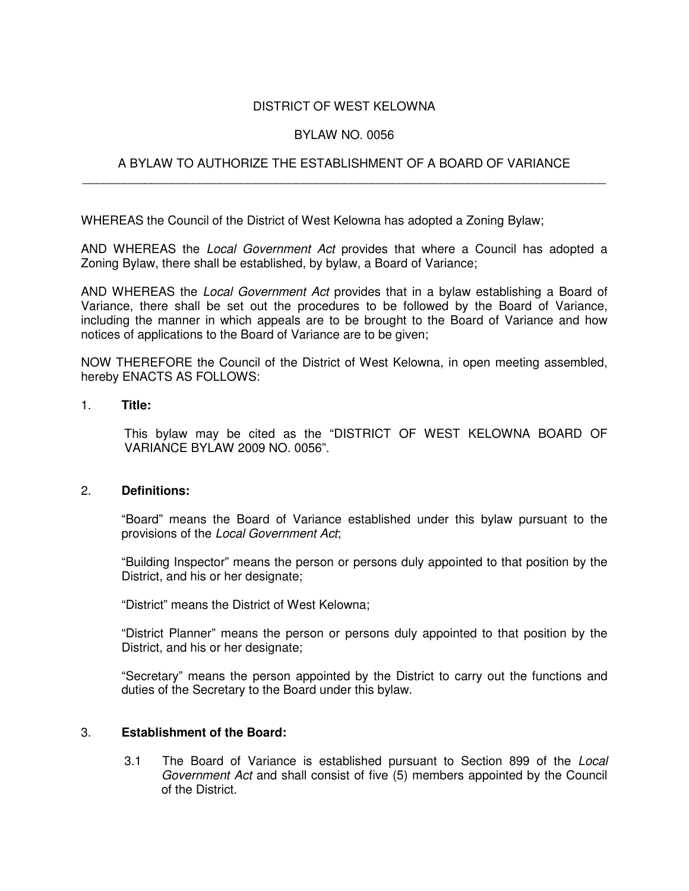# DISTRICT OF WEST KELOWNA

### BYLAW NO. 0056

# A BYLAW TO AUTHORIZE THE ESTABLISHMENT OF A BOARD OF VARIANCE \_\_\_\_\_\_\_\_\_\_\_\_\_\_\_\_\_\_\_\_\_\_\_\_\_\_\_\_\_\_\_\_\_\_\_\_\_\_\_\_\_\_\_\_\_\_\_\_\_\_\_\_\_\_\_\_\_\_\_\_\_\_\_\_\_\_\_\_\_\_\_\_\_\_\_\_

WHEREAS the Council of the District of West Kelowna has adopted a Zoning Bylaw;

AND WHEREAS the *Local Government Act* provides that where a Council has adopted a Zoning Bylaw, there shall be established, by bylaw, a Board of Variance;

AND WHEREAS the *Local Government Act* provides that in a bylaw establishing a Board of Variance, there shall be set out the procedures to be followed by the Board of Variance, including the manner in which appeals are to be brought to the Board of Variance and how notices of applications to the Board of Variance are to be given;

NOW THEREFORE the Council of the District of West Kelowna, in open meeting assembled, hereby ENACTS AS FOLLOWS:

#### 1. **Title:**

This bylaw may be cited as the "DISTRICT OF WEST KELOWNA BOARD OF VARIANCE BYLAW 2009 NO. 0056".

### 2. **Definitions:**

"Board" means the Board of Variance established under this bylaw pursuant to the provisions of the *Local Government Act*;

"Building Inspector" means the person or persons duly appointed to that position by the District, and his or her designate;

"District" means the District of West Kelowna;

"District Planner" means the person or persons duly appointed to that position by the District, and his or her designate;

"Secretary" means the person appointed by the District to carry out the functions and duties of the Secretary to the Board under this bylaw.

### 3. **Establishment of the Board:**

3.1 The Board of Variance is established pursuant to Section 899 of the *Local Government Act* and shall consist of five (5) members appointed by the Council of the District.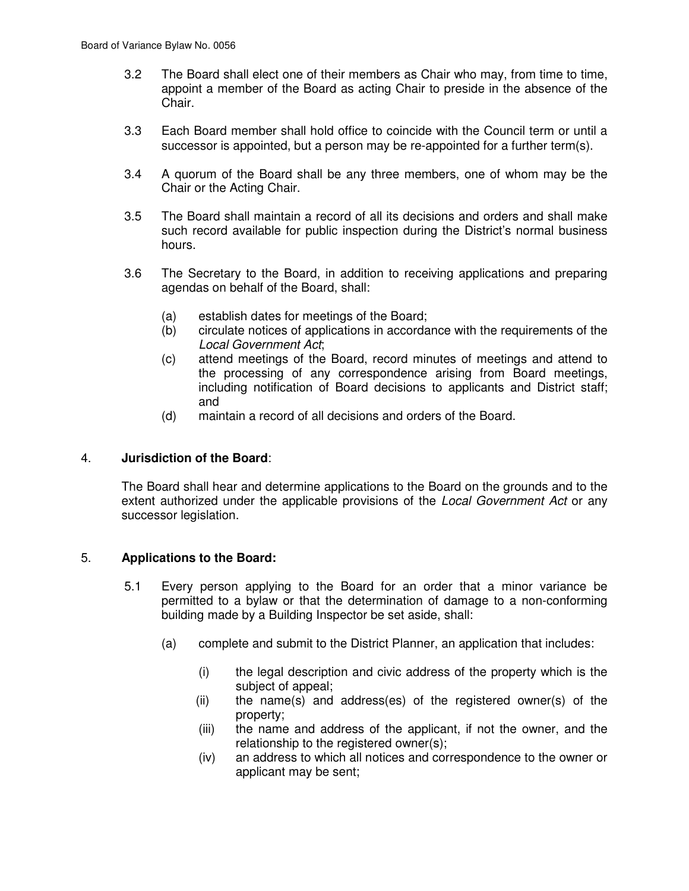- 3.2 The Board shall elect one of their members as Chair who may, from time to time, appoint a member of the Board as acting Chair to preside in the absence of the Chair.
- 3.3 Each Board member shall hold office to coincide with the Council term or until a successor is appointed, but a person may be re-appointed for a further term(s).
- 3.4 A quorum of the Board shall be any three members, one of whom may be the Chair or the Acting Chair.
- 3.5 The Board shall maintain a record of all its decisions and orders and shall make such record available for public inspection during the District's normal business hours.
- 3.6 The Secretary to the Board, in addition to receiving applications and preparing agendas on behalf of the Board, shall:
	- (a) establish dates for meetings of the Board;
	- (b) circulate notices of applications in accordance with the requirements of the *Local Government Act*;
	- (c) attend meetings of the Board, record minutes of meetings and attend to the processing of any correspondence arising from Board meetings, including notification of Board decisions to applicants and District staff; and
	- (d) maintain a record of all decisions and orders of the Board.

# 4. **Jurisdiction of the Board**:

The Board shall hear and determine applications to the Board on the grounds and to the extent authorized under the applicable provisions of the *Local Government Act* or any successor legislation.

# 5. **Applications to the Board:**

- 5.1 Every person applying to the Board for an order that a minor variance be permitted to a bylaw or that the determination of damage to a non-conforming building made by a Building Inspector be set aside, shall:
	- (a) complete and submit to the District Planner, an application that includes:
		- (i) the legal description and civic address of the property which is the subject of appeal;
		- (ii) the name(s) and address(es) of the registered owner(s) of the property;
		- (iii) the name and address of the applicant, if not the owner, and the relationship to the registered owner(s);
		- (iv) an address to which all notices and correspondence to the owner or applicant may be sent;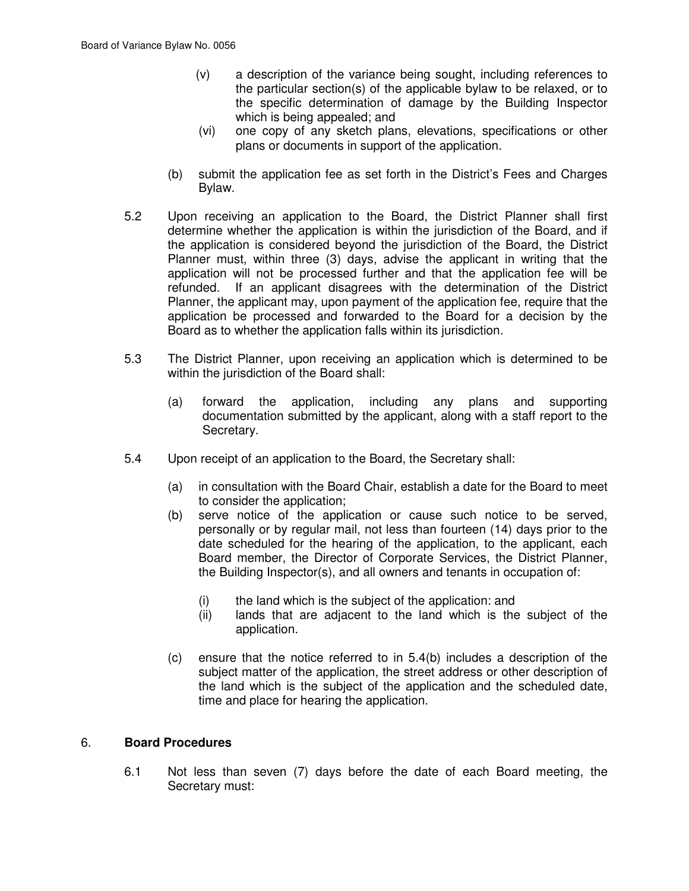- (v) a description of the variance being sought, including references to the particular section(s) of the applicable bylaw to be relaxed, or to the specific determination of damage by the Building Inspector which is being appealed; and
- (vi) one copy of any sketch plans, elevations, specifications or other plans or documents in support of the application.
- (b) submit the application fee as set forth in the District's Fees and Charges Bylaw.
- 5.2 Upon receiving an application to the Board, the District Planner shall first determine whether the application is within the jurisdiction of the Board, and if the application is considered beyond the jurisdiction of the Board, the District Planner must, within three (3) days, advise the applicant in writing that the application will not be processed further and that the application fee will be refunded. If an applicant disagrees with the determination of the District Planner, the applicant may, upon payment of the application fee, require that the application be processed and forwarded to the Board for a decision by the Board as to whether the application falls within its jurisdiction.
- 5.3 The District Planner, upon receiving an application which is determined to be within the jurisdiction of the Board shall:
	- (a) forward the application, including any plans and supporting documentation submitted by the applicant, along with a staff report to the Secretary.
- 5.4 Upon receipt of an application to the Board, the Secretary shall:
	- (a) in consultation with the Board Chair, establish a date for the Board to meet to consider the application;
	- (b) serve notice of the application or cause such notice to be served, personally or by regular mail, not less than fourteen (14) days prior to the date scheduled for the hearing of the application, to the applicant, each Board member, the Director of Corporate Services, the District Planner, the Building Inspector(s), and all owners and tenants in occupation of:
		- (i) the land which is the subject of the application: and
		- (ii) lands that are adjacent to the land which is the subject of the application.
	- (c) ensure that the notice referred to in 5.4(b) includes a description of the subject matter of the application, the street address or other description of the land which is the subject of the application and the scheduled date, time and place for hearing the application.

### 6. **Board Procedures**

6.1 Not less than seven (7) days before the date of each Board meeting, the Secretary must: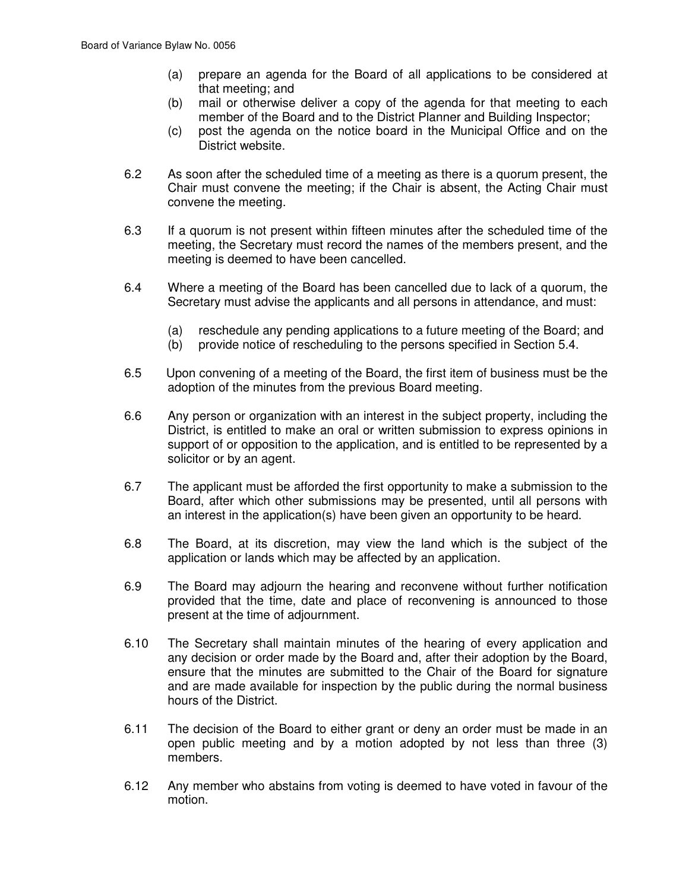- (a) prepare an agenda for the Board of all applications to be considered at that meeting; and
- (b) mail or otherwise deliver a copy of the agenda for that meeting to each member of the Board and to the District Planner and Building Inspector;
- (c) post the agenda on the notice board in the Municipal Office and on the District website.
- 6.2 As soon after the scheduled time of a meeting as there is a quorum present, the Chair must convene the meeting; if the Chair is absent, the Acting Chair must convene the meeting.
- 6.3 If a quorum is not present within fifteen minutes after the scheduled time of the meeting, the Secretary must record the names of the members present, and the meeting is deemed to have been cancelled.
- 6.4 Where a meeting of the Board has been cancelled due to lack of a quorum, the Secretary must advise the applicants and all persons in attendance, and must:
	- (a) reschedule any pending applications to a future meeting of the Board; and
	- (b) provide notice of rescheduling to the persons specified in Section 5.4.
- 6.5 Upon convening of a meeting of the Board, the first item of business must be the adoption of the minutes from the previous Board meeting.
- 6.6 Any person or organization with an interest in the subject property, including the District, is entitled to make an oral or written submission to express opinions in support of or opposition to the application, and is entitled to be represented by a solicitor or by an agent.
- 6.7 The applicant must be afforded the first opportunity to make a submission to the Board, after which other submissions may be presented, until all persons with an interest in the application(s) have been given an opportunity to be heard.
- 6.8 The Board, at its discretion, may view the land which is the subject of the application or lands which may be affected by an application.
- 6.9 The Board may adjourn the hearing and reconvene without further notification provided that the time, date and place of reconvening is announced to those present at the time of adjournment.
- 6.10 The Secretary shall maintain minutes of the hearing of every application and any decision or order made by the Board and, after their adoption by the Board, ensure that the minutes are submitted to the Chair of the Board for signature and are made available for inspection by the public during the normal business hours of the District.
- 6.11 The decision of the Board to either grant or deny an order must be made in an open public meeting and by a motion adopted by not less than three (3) members.
- 6.12 Any member who abstains from voting is deemed to have voted in favour of the motion.